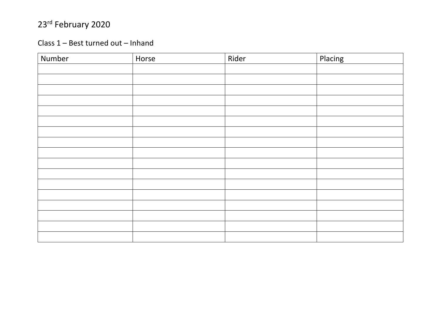#### Class 1 – Best turned out – Inhand

| Number | Horse | Rider | Placing |
|--------|-------|-------|---------|
|        |       |       |         |
|        |       |       |         |
|        |       |       |         |
|        |       |       |         |
|        |       |       |         |
|        |       |       |         |
|        |       |       |         |
|        |       |       |         |
|        |       |       |         |
|        |       |       |         |
|        |       |       |         |
|        |       |       |         |
|        |       |       |         |
|        |       |       |         |
|        |       |       |         |
|        |       |       |         |
|        |       |       |         |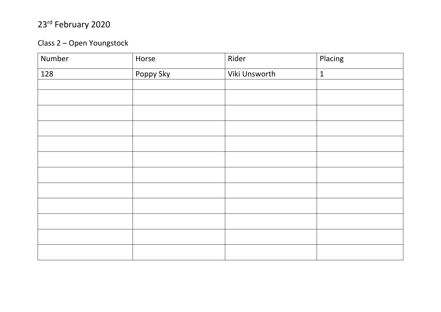#### Class 2 - Open Youngstock

| Number | Horse     | Rider         | Placing      |
|--------|-----------|---------------|--------------|
| 128    | Poppy Sky | Viki Unsworth | $\mathbf{1}$ |
|        |           |               |              |
|        |           |               |              |
|        |           |               |              |
|        |           |               |              |
|        |           |               |              |
|        |           |               |              |
|        |           |               |              |
|        |           |               |              |
|        |           |               |              |
|        |           |               |              |
|        |           |               |              |
|        |           |               |              |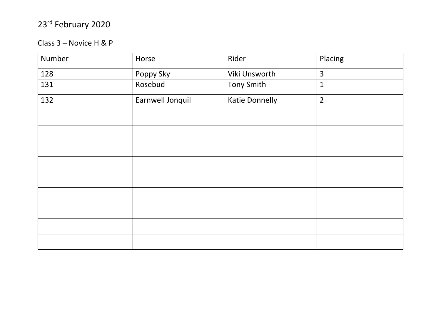#### Class 3 – Novice H & P

| Number | Horse            | Rider                 | Placing        |
|--------|------------------|-----------------------|----------------|
| 128    | Poppy Sky        | Viki Unsworth         | $\overline{3}$ |
| 131    | Rosebud          | <b>Tony Smith</b>     | $\mathbf{1}$   |
| 132    | Earnwell Jonquil | <b>Katie Donnelly</b> | $\overline{2}$ |
|        |                  |                       |                |
|        |                  |                       |                |
|        |                  |                       |                |
|        |                  |                       |                |
|        |                  |                       |                |
|        |                  |                       |                |
|        |                  |                       |                |
|        |                  |                       |                |
|        |                  |                       |                |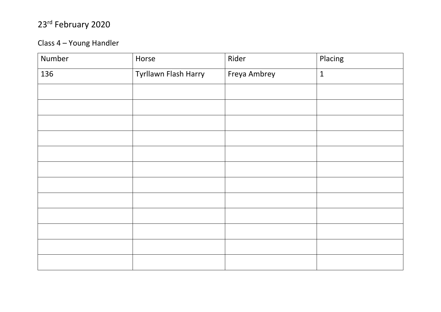#### Class 4 – Young Handler

| Number | Horse                | Rider        | Placing      |
|--------|----------------------|--------------|--------------|
| 136    | Tyrllawn Flash Harry | Freya Ambrey | $\mathbf{1}$ |
|        |                      |              |              |
|        |                      |              |              |
|        |                      |              |              |
|        |                      |              |              |
|        |                      |              |              |
|        |                      |              |              |
|        |                      |              |              |
|        |                      |              |              |
|        |                      |              |              |
|        |                      |              |              |
|        |                      |              |              |
|        |                      |              |              |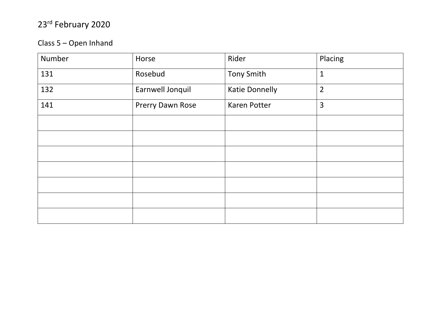#### Class 5 – Open Inhand

| Number | Horse            | Rider                 | Placing        |
|--------|------------------|-----------------------|----------------|
| 131    | Rosebud          | <b>Tony Smith</b>     | $\mathbf{1}$   |
| 132    | Earnwell Jonquil | <b>Katie Donnelly</b> | $\overline{2}$ |
| 141    | Prerry Dawn Rose | <b>Karen Potter</b>   | $\overline{3}$ |
|        |                  |                       |                |
|        |                  |                       |                |
|        |                  |                       |                |
|        |                  |                       |                |
|        |                  |                       |                |
|        |                  |                       |                |
|        |                  |                       |                |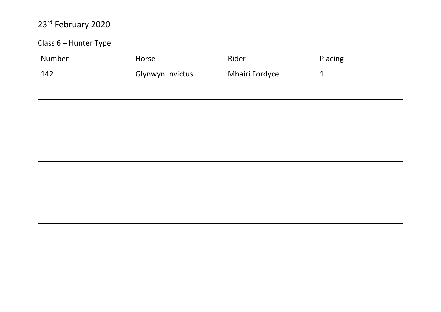#### Class 6 - Hunter Type

| Number | Horse            | Rider          | Placing      |
|--------|------------------|----------------|--------------|
| 142    | Glynwyn Invictus | Mhairi Fordyce | $\mathbf{1}$ |
|        |                  |                |              |
|        |                  |                |              |
|        |                  |                |              |
|        |                  |                |              |
|        |                  |                |              |
|        |                  |                |              |
|        |                  |                |              |
|        |                  |                |              |
|        |                  |                |              |
|        |                  |                |              |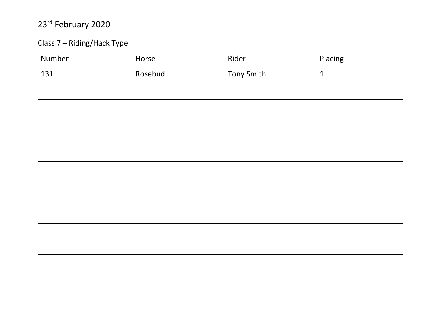#### Class 7 – Riding/Hack Type

| Number | Horse   | Rider             | Placing      |
|--------|---------|-------------------|--------------|
| 131    | Rosebud | <b>Tony Smith</b> | $\mathbf{1}$ |
|        |         |                   |              |
|        |         |                   |              |
|        |         |                   |              |
|        |         |                   |              |
|        |         |                   |              |
|        |         |                   |              |
|        |         |                   |              |
|        |         |                   |              |
|        |         |                   |              |
|        |         |                   |              |
|        |         |                   |              |
|        |         |                   |              |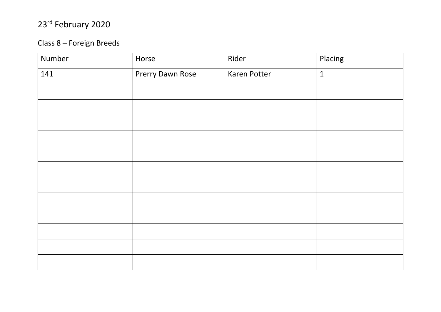#### Class 8 – Foreign Breeds

| Number | Horse            | Rider               | Placing      |
|--------|------------------|---------------------|--------------|
| 141    | Prerry Dawn Rose | <b>Karen Potter</b> | $\mathbf{1}$ |
|        |                  |                     |              |
|        |                  |                     |              |
|        |                  |                     |              |
|        |                  |                     |              |
|        |                  |                     |              |
|        |                  |                     |              |
|        |                  |                     |              |
|        |                  |                     |              |
|        |                  |                     |              |
|        |                  |                     |              |
|        |                  |                     |              |
|        |                  |                     |              |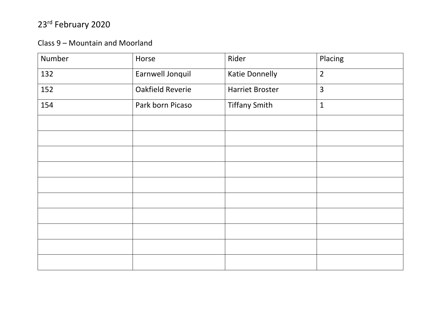#### Class 9 – Mountain and Moorland

| Number | Horse            | Rider                  | Placing        |
|--------|------------------|------------------------|----------------|
| 132    | Earnwell Jonquil | <b>Katie Donnelly</b>  | $\overline{2}$ |
| 152    | Oakfield Reverie | <b>Harriet Broster</b> | $\overline{3}$ |
| 154    | Park born Picaso | <b>Tiffany Smith</b>   | $\mathbf{1}$   |
|        |                  |                        |                |
|        |                  |                        |                |
|        |                  |                        |                |
|        |                  |                        |                |
|        |                  |                        |                |
|        |                  |                        |                |
|        |                  |                        |                |
|        |                  |                        |                |
|        |                  |                        |                |
|        |                  |                        |                |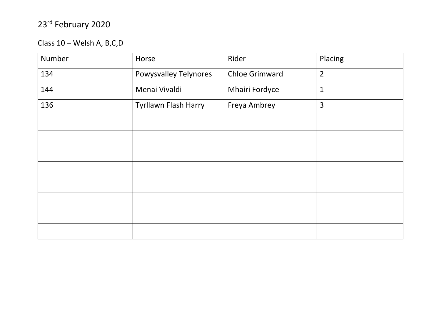Class 10 – Welsh A, B,C,D

| Number | Horse                        | Rider                 | Placing        |
|--------|------------------------------|-----------------------|----------------|
| 134    | <b>Powysvalley Telynores</b> | <b>Chloe Grimward</b> | $\overline{2}$ |
| 144    | Menai Vivaldi                | <b>Mhairi Fordyce</b> | $\mathbf{1}$   |
| 136    | Tyrllawn Flash Harry         | Freya Ambrey          | 3              |
|        |                              |                       |                |
|        |                              |                       |                |
|        |                              |                       |                |
|        |                              |                       |                |
|        |                              |                       |                |
|        |                              |                       |                |
|        |                              |                       |                |
|        |                              |                       |                |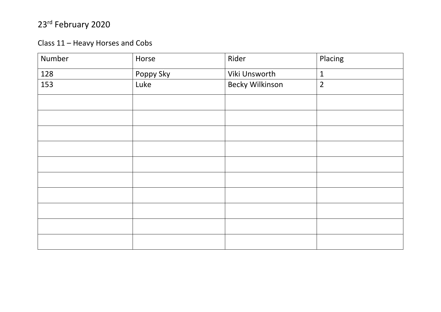#### Class 11 – Heavy Horses and Cobs

| Number | Horse     | Rider                  | Placing        |  |
|--------|-----------|------------------------|----------------|--|
| 128    | Poppy Sky | Viki Unsworth          | $\mathbf{1}$   |  |
| 153    | Luke      | <b>Becky Wilkinson</b> | $\overline{2}$ |  |
|        |           |                        |                |  |
|        |           |                        |                |  |
|        |           |                        |                |  |
|        |           |                        |                |  |
|        |           |                        |                |  |
|        |           |                        |                |  |
|        |           |                        |                |  |
|        |           |                        |                |  |
|        |           |                        |                |  |
|        |           |                        |                |  |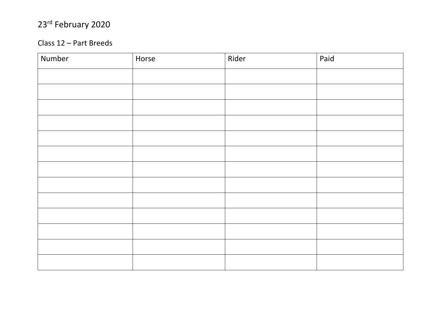#### Class 12 – Part Breeds

| Number | Horse | Rider | Paid |
|--------|-------|-------|------|
|        |       |       |      |
|        |       |       |      |
|        |       |       |      |
|        |       |       |      |
|        |       |       |      |
|        |       |       |      |
|        |       |       |      |
|        |       |       |      |
|        |       |       |      |
|        |       |       |      |
|        |       |       |      |
|        |       |       |      |
|        |       |       |      |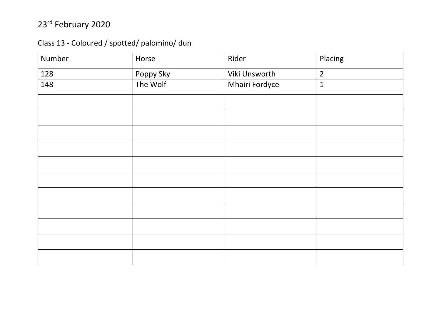#### Class 13 - Coloured / spotted/ palomino/ dun

| Number | Horse     | Rider          | Placing        |
|--------|-----------|----------------|----------------|
| 128    | Poppy Sky | Viki Unsworth  | $\overline{2}$ |
| 148    | The Wolf  | Mhairi Fordyce | $\mathbf 1$    |
|        |           |                |                |
|        |           |                |                |
|        |           |                |                |
|        |           |                |                |
|        |           |                |                |
|        |           |                |                |
|        |           |                |                |
|        |           |                |                |
|        |           |                |                |
|        |           |                |                |
|        |           |                |                |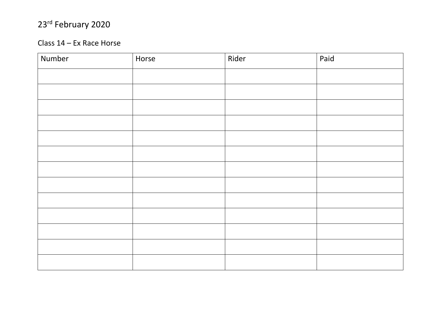#### Class 14 – Ex Race Horse

| Number | Horse | Rider | Paid |
|--------|-------|-------|------|
|        |       |       |      |
|        |       |       |      |
|        |       |       |      |
|        |       |       |      |
|        |       |       |      |
|        |       |       |      |
|        |       |       |      |
|        |       |       |      |
|        |       |       |      |
|        |       |       |      |
|        |       |       |      |
|        |       |       |      |
|        |       |       |      |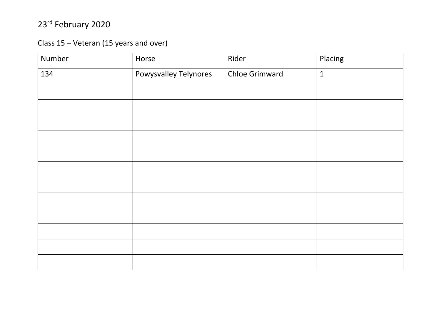Class 15 - Veteran (15 years and over)

| Number | Horse                 | Rider                 | Placing      |
|--------|-----------------------|-----------------------|--------------|
| 134    | Powysvalley Telynores | <b>Chloe Grimward</b> | $\mathbf{1}$ |
|        |                       |                       |              |
|        |                       |                       |              |
|        |                       |                       |              |
|        |                       |                       |              |
|        |                       |                       |              |
|        |                       |                       |              |
|        |                       |                       |              |
|        |                       |                       |              |
|        |                       |                       |              |
|        |                       |                       |              |
|        |                       |                       |              |
|        |                       |                       |              |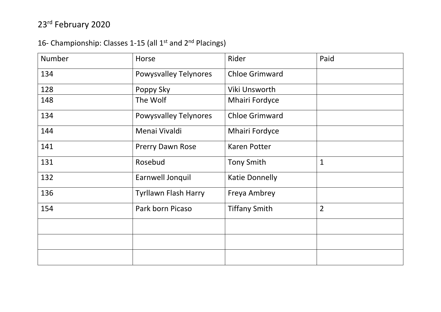#### 16- Championship: Classes 1-15 (all 1<sup>st</sup> and 2<sup>nd</sup> Placings)

| <b>Number</b> | Horse                        | Rider                 | Paid           |
|---------------|------------------------------|-----------------------|----------------|
| 134           | <b>Powysvalley Telynores</b> | <b>Chloe Grimward</b> |                |
| 128           | Poppy Sky                    | Viki Unsworth         |                |
| 148           | The Wolf                     | <b>Mhairi Fordyce</b> |                |
| 134           | <b>Powysvalley Telynores</b> | <b>Chloe Grimward</b> |                |
| 144           | Menai Vivaldi                | <b>Mhairi Fordyce</b> |                |
| 141           | Prerry Dawn Rose             | <b>Karen Potter</b>   |                |
| 131           | Rosebud                      | <b>Tony Smith</b>     | $\mathbf{1}$   |
| 132           | Earnwell Jonquil             | <b>Katie Donnelly</b> |                |
| 136           | <b>Tyrllawn Flash Harry</b>  | Freya Ambrey          |                |
| 154           | Park born Picaso             | <b>Tiffany Smith</b>  | $\overline{2}$ |
|               |                              |                       |                |
|               |                              |                       |                |
|               |                              |                       |                |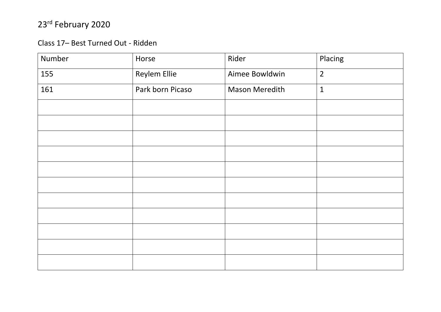#### Class 17- Best Turned Out - Ridden

| Number | Horse               | Rider                 | Placing        |
|--------|---------------------|-----------------------|----------------|
| 155    | <b>Reylem Ellie</b> | Aimee Bowldwin        | $\overline{2}$ |
| 161    | Park born Picaso    | <b>Mason Meredith</b> | $\mathbf{1}$   |
|        |                     |                       |                |
|        |                     |                       |                |
|        |                     |                       |                |
|        |                     |                       |                |
|        |                     |                       |                |
|        |                     |                       |                |
|        |                     |                       |                |
|        |                     |                       |                |
|        |                     |                       |                |
|        |                     |                       |                |
|        |                     |                       |                |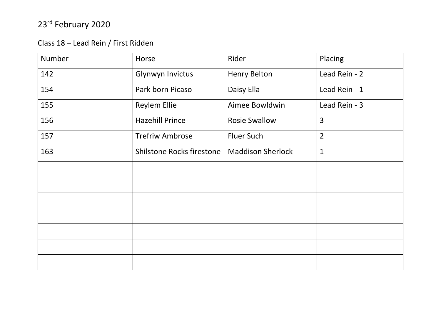#### Class 18 – Lead Rein / First Ridden

| Number | Horse                            | Rider                    | Placing        |
|--------|----------------------------------|--------------------------|----------------|
| 142    | Glynwyn Invictus                 | <b>Henry Belton</b>      | Lead Rein - 2  |
| 154    | Park born Picaso                 | Daisy Ella               | Lead Rein - 1  |
| 155    | <b>Reylem Ellie</b>              | Aimee Bowldwin           | Lead Rein - 3  |
| 156    | <b>Hazehill Prince</b>           | <b>Rosie Swallow</b>     | $\overline{3}$ |
| 157    | <b>Trefriw Ambrose</b>           | <b>Fluer Such</b>        | $\overline{2}$ |
| 163    | <b>Shilstone Rocks firestone</b> | <b>Maddison Sherlock</b> | $\mathbf{1}$   |
|        |                                  |                          |                |
|        |                                  |                          |                |
|        |                                  |                          |                |
|        |                                  |                          |                |
|        |                                  |                          |                |
|        |                                  |                          |                |
|        |                                  |                          |                |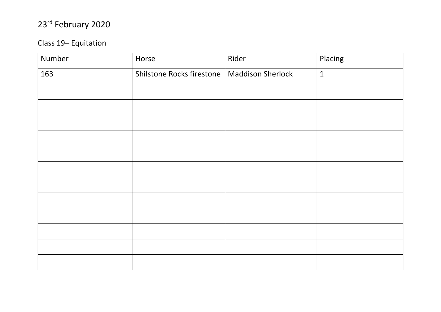#### Class 19-Equitation

| Number | Horse                     | Rider                    | Placing      |
|--------|---------------------------|--------------------------|--------------|
| 163    | Shilstone Rocks firestone | <b>Maddison Sherlock</b> | $\mathbf{1}$ |
|        |                           |                          |              |
|        |                           |                          |              |
|        |                           |                          |              |
|        |                           |                          |              |
|        |                           |                          |              |
|        |                           |                          |              |
|        |                           |                          |              |
|        |                           |                          |              |
|        |                           |                          |              |
|        |                           |                          |              |
|        |                           |                          |              |
|        |                           |                          |              |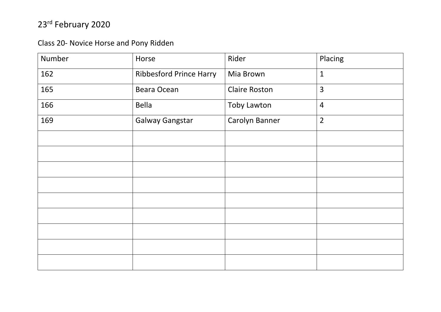Class 20- Novice Horse and Pony Ridden

| Number | Horse                   | Rider                | Placing        |
|--------|-------------------------|----------------------|----------------|
| 162    | Ribbesford Prince Harry | Mia Brown            | $\mathbf{1}$   |
| 165    | Beara Ocean             | <b>Claire Roston</b> | $\overline{3}$ |
| 166    | <b>Bella</b>            | <b>Toby Lawton</b>   | $\overline{4}$ |
| 169    | <b>Galway Gangstar</b>  | Carolyn Banner       | $\overline{2}$ |
|        |                         |                      |                |
|        |                         |                      |                |
|        |                         |                      |                |
|        |                         |                      |                |
|        |                         |                      |                |
|        |                         |                      |                |
|        |                         |                      |                |
|        |                         |                      |                |
|        |                         |                      |                |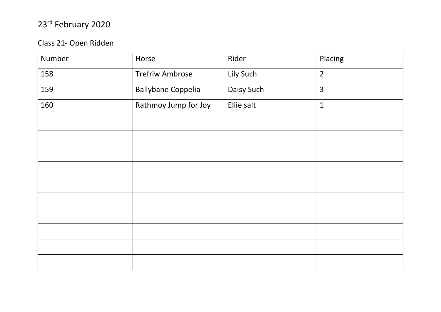#### Class 21- Open Ridden

| Number | Horse                     | Rider      | Placing        |
|--------|---------------------------|------------|----------------|
| 158    | <b>Trefriw Ambrose</b>    | Lily Such  | $\overline{2}$ |
| 159    | <b>Ballybane Coppelia</b> | Daisy Such | $\overline{3}$ |
| 160    | Rathmoy Jump for Joy      | Ellie salt | $\mathbf{1}$   |
|        |                           |            |                |
|        |                           |            |                |
|        |                           |            |                |
|        |                           |            |                |
|        |                           |            |                |
|        |                           |            |                |
|        |                           |            |                |
|        |                           |            |                |
|        |                           |            |                |
|        |                           |            |                |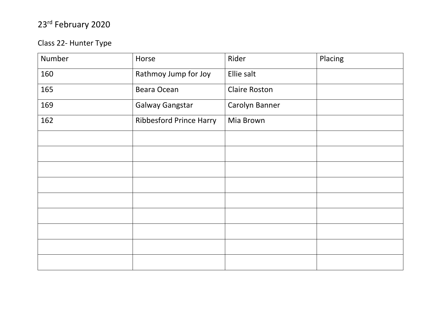#### Class 22- Hunter Type

| Number | Horse                          | Rider                | Placing |
|--------|--------------------------------|----------------------|---------|
| 160    | Rathmoy Jump for Joy           | Ellie salt           |         |
| 165    | Beara Ocean                    | <b>Claire Roston</b> |         |
| 169    | <b>Galway Gangstar</b>         | Carolyn Banner       |         |
| 162    | <b>Ribbesford Prince Harry</b> | Mia Brown            |         |
|        |                                |                      |         |
|        |                                |                      |         |
|        |                                |                      |         |
|        |                                |                      |         |
|        |                                |                      |         |
|        |                                |                      |         |
|        |                                |                      |         |
|        |                                |                      |         |
|        |                                |                      |         |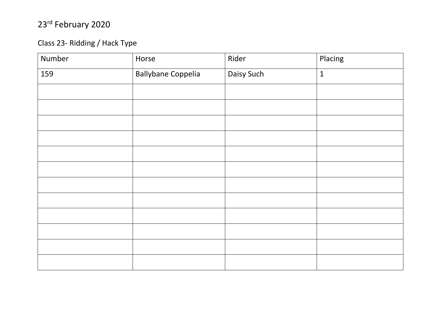#### Class 23- Ridding / Hack Type

| Number | Horse                     | Rider      | Placing      |
|--------|---------------------------|------------|--------------|
| 159    | <b>Ballybane Coppelia</b> | Daisy Such | $\mathbf{1}$ |
|        |                           |            |              |
|        |                           |            |              |
|        |                           |            |              |
|        |                           |            |              |
|        |                           |            |              |
|        |                           |            |              |
|        |                           |            |              |
|        |                           |            |              |
|        |                           |            |              |
|        |                           |            |              |
|        |                           |            |              |
|        |                           |            |              |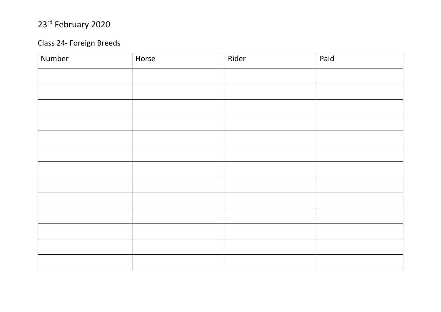#### Class 2 4 - Foreign Breeds

| Number | Horse | Rider | Paid |
|--------|-------|-------|------|
|        |       |       |      |
|        |       |       |      |
|        |       |       |      |
|        |       |       |      |
|        |       |       |      |
|        |       |       |      |
|        |       |       |      |
|        |       |       |      |
|        |       |       |      |
|        |       |       |      |
|        |       |       |      |
|        |       |       |      |
|        |       |       |      |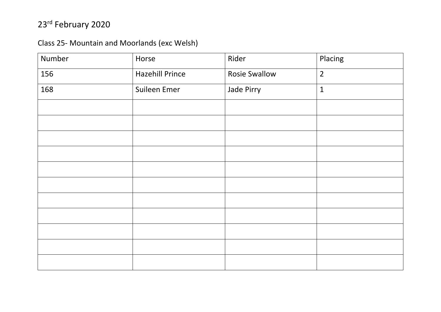#### Class 25- Mountain and Moorlands (exc Welsh)

| Number | Horse                  | Rider                | Placing        |
|--------|------------------------|----------------------|----------------|
| 156    | <b>Hazehill Prince</b> | <b>Rosie Swallow</b> | $\overline{2}$ |
| 168    | Suileen Emer           | Jade Pirry           | $\mathbf{1}$   |
|        |                        |                      |                |
|        |                        |                      |                |
|        |                        |                      |                |
|        |                        |                      |                |
|        |                        |                      |                |
|        |                        |                      |                |
|        |                        |                      |                |
|        |                        |                      |                |
|        |                        |                      |                |
|        |                        |                      |                |
|        |                        |                      |                |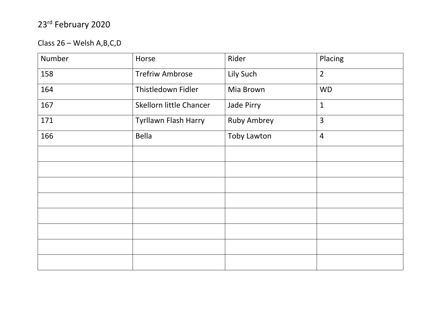Class 26 – Welsh A,B,C,D

| Number | Horse                   | Rider              | Placing        |
|--------|-------------------------|--------------------|----------------|
| 158    | <b>Trefriw Ambrose</b>  | Lily Such          | $\overline{2}$ |
| 164    | Thistledown Fidler      | Mia Brown          | <b>WD</b>      |
| 167    | Skellorn little Chancer | Jade Pirry         | $\mathbf{1}$   |
| 171    | Tyrllawn Flash Harry    | <b>Ruby Ambrey</b> | 3              |
| 166    | <b>Bella</b>            | <b>Toby Lawton</b> | $\overline{4}$ |
|        |                         |                    |                |
|        |                         |                    |                |
|        |                         |                    |                |
|        |                         |                    |                |
|        |                         |                    |                |
|        |                         |                    |                |
|        |                         |                    |                |
|        |                         |                    |                |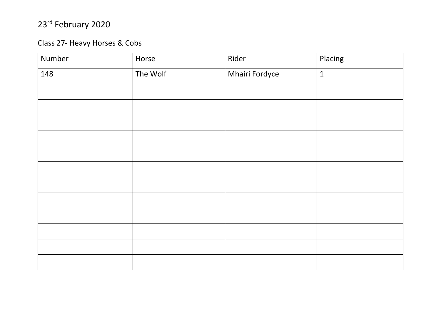#### Class 27- Heavy Horses & Cobs

| Number | Horse    | Rider          | Placing      |
|--------|----------|----------------|--------------|
| 148    | The Wolf | Mhairi Fordyce | $\mathbf{1}$ |
|        |          |                |              |
|        |          |                |              |
|        |          |                |              |
|        |          |                |              |
|        |          |                |              |
|        |          |                |              |
|        |          |                |              |
|        |          |                |              |
|        |          |                |              |
|        |          |                |              |
|        |          |                |              |
|        |          |                |              |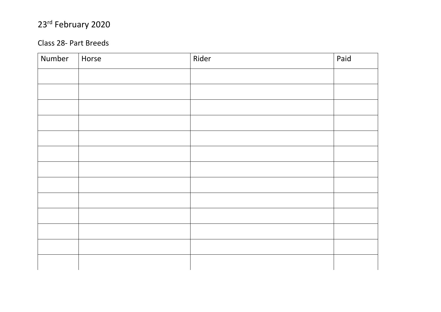#### Class 2 8 - Part Breeds

| Number | Horse | Rider | Paid |
|--------|-------|-------|------|
|        |       |       |      |
|        |       |       |      |
|        |       |       |      |
|        |       |       |      |
|        |       |       |      |
|        |       |       |      |
|        |       |       |      |
|        |       |       |      |
|        |       |       |      |
|        |       |       |      |
|        |       |       |      |
|        |       |       |      |
|        |       |       |      |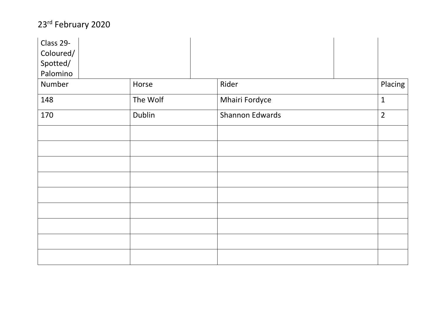| Class 29- |          |                 |                |
|-----------|----------|-----------------|----------------|
| Coloured/ |          |                 |                |
| Spotted/  |          |                 |                |
| Palomino  |          |                 |                |
| Number    | Horse    | Rider           | Placing        |
| 148       | The Wolf | Mhairi Fordyce  | $\mathbf{1}$   |
| 170       | Dublin   | Shannon Edwards | $\overline{2}$ |
|           |          |                 |                |
|           |          |                 |                |
|           |          |                 |                |
|           |          |                 |                |
|           |          |                 |                |
|           |          |                 |                |
|           |          |                 |                |
|           |          |                 |                |
|           |          |                 |                |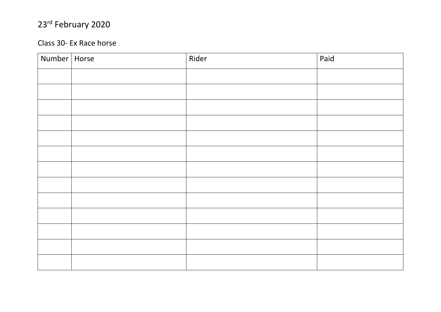#### Class 30 - Ex Race horse

| Number   Horse | Rider | Paid |
|----------------|-------|------|
|                |       |      |
|                |       |      |
|                |       |      |
|                |       |      |
|                |       |      |
|                |       |      |
|                |       |      |
|                |       |      |
|                |       |      |
|                |       |      |
|                |       |      |
|                |       |      |
|                |       |      |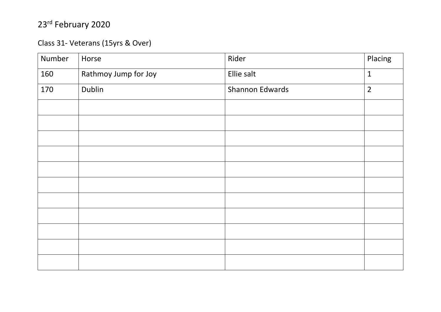#### Class 31- Veterans (15yrs & Over)

| Number | Horse                | Rider           | Placing        |
|--------|----------------------|-----------------|----------------|
| 160    | Rathmoy Jump for Joy | Ellie salt      | $\mathbf{1}$   |
| 170    | Dublin               | Shannon Edwards | $\overline{2}$ |
|        |                      |                 |                |
|        |                      |                 |                |
|        |                      |                 |                |
|        |                      |                 |                |
|        |                      |                 |                |
|        |                      |                 |                |
|        |                      |                 |                |
|        |                      |                 |                |
|        |                      |                 |                |
|        |                      |                 |                |
|        |                      |                 |                |